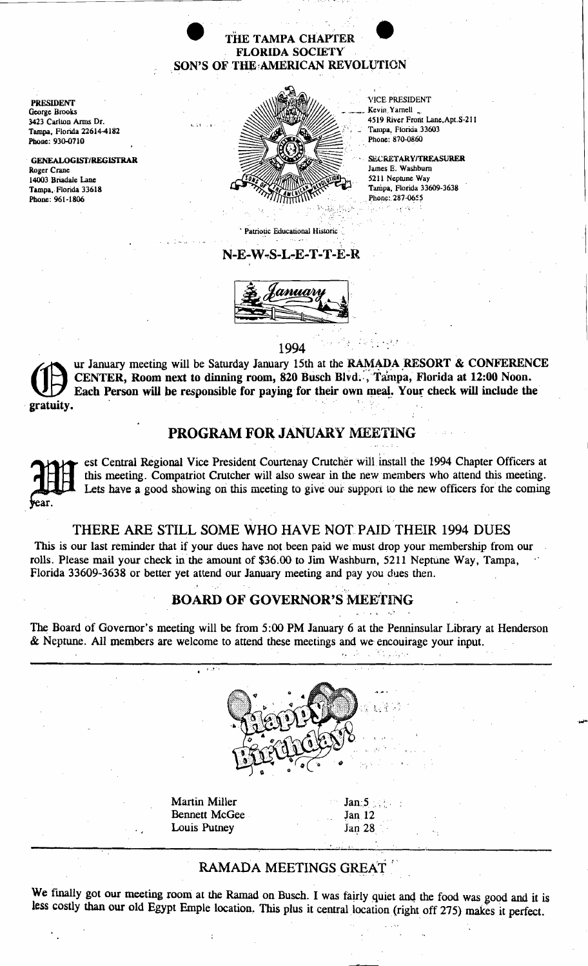# THE TAMPA CHAPTER FLORIDA SOCIETY THE TAMPA CHAPTER<br>
FLORIDA SOCIETY<br>
SON'S OF THE AMERICAN REVOLUTION

PRESIDENT George Brooks 3423 Carlton Arms Dr. Tampa. Florida 226144182 Phone: 930-0710

GENEALOGlSf/REGlSfRAR Roger Crane 14003 Briadale Lane Tampa. Florida 33618 Phone: 961-1806



**VICE PRESIDENT** Kevin Yarnell 4519 River Front Lane, Apt. S-211 Tampa, Fiorida 33603 Phone: 870-0860

**SECRETARY/TREASURER** James E. Washburn 5211 Neptune Way Tampa, Florida 33609-3638 Phone: 287-0655

, ,

. Patriotic Educational Historic:

, . ,

#### N-E-W~S-L-E-T-T-E-R



. The contract of the contract of  $1994$ 

gratuity. ur January meeting will be Saturday January 15th at the RAMADA RESORT & CONFERENCE CENTER, Room next to dinning room, 820 Busch Blvd. , Tampa, Florida at 12:00 Noon. Each Person will be responsible for paying for their own meal. Your check will include the

## PROGRAM FOR JANUARY MEETING

2011 ar. est Central Regional Vice President Courtenay Crutcher will install the 1994 Chapter Officers at this meeting. Compatriot Crutcher will also swear in the new members who attend this meeting. Lets have a good showing on this meeting to give our support to the new officers for the coming

#### THERE ARE STILL SOME WHO HAVE NOT PAID THEIR 1994 DUES

This is our last reminder that if your dues have not been paid we must drop your membership from our rolls. Please mail your check in the amount of \$36.00 to Jim Washburn, 5211 Neptune Way, Tampa, florida 33609-3638 or better yet attend our January meeting and pay you dues then.

## BOARD OF GOVERNOR'S MEETING

The Board of Governor's meeting will be from 5:00 PM January 6 at the Penninsular Library at Henderson & Neptune. All members are welcome to attend these meetings and we encouirage your input.



Martin Miller  $Jan:5 \rightarrow$ . Bennett McGee 5an 12 Louis Pumey Jan 28



......

 $\overline{\phantom{a}}$ 

# RAMADA MEETINGS GREAT

We finally got our meeting room at the Ramad on Busch. I was fairly quiet and the food was good and it is less costly than our old Egypt Emple location. This plus it central location (right off 275) makes it perfect.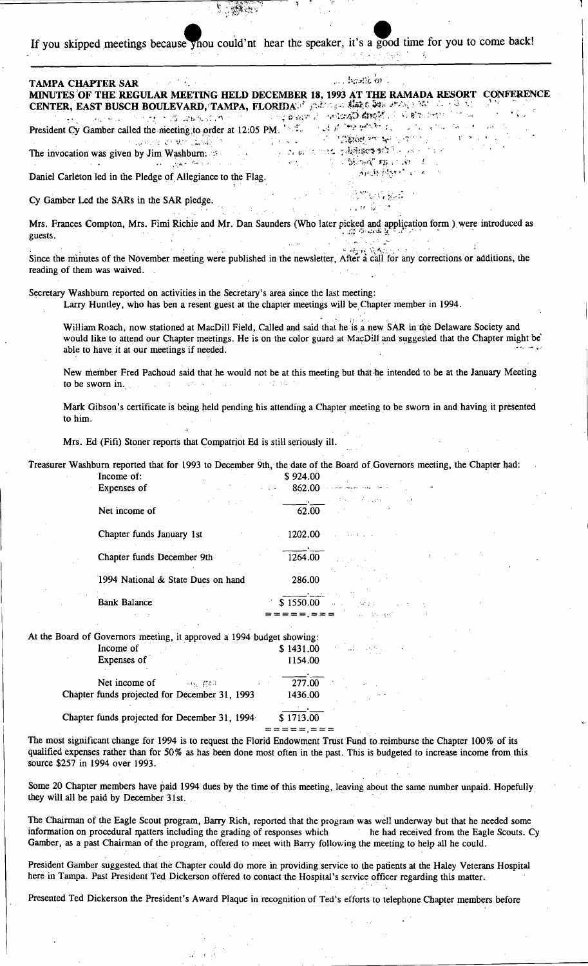uild'nt d time for you to come back!

| If you skipped incernigs occause ynou could in near the speaker, it s a $5$                                                                                                                                                                                                                                                                                                                                                                                      |                                                                                                                                                                                                                                                                                                                                                    |
|------------------------------------------------------------------------------------------------------------------------------------------------------------------------------------------------------------------------------------------------------------------------------------------------------------------------------------------------------------------------------------------------------------------------------------------------------------------|----------------------------------------------------------------------------------------------------------------------------------------------------------------------------------------------------------------------------------------------------------------------------------------------------------------------------------------------------|
| <b>TAMPA CHAPTER SAR</b><br>CENTER, EAST BUSCH BOULEVARD, TAMPA, FLORIDAUS probably states of the second of the second of the                                                                                                                                                                                                                                                                                                                                    | $\ldots$ hastle $m$ .<br>MINUTES OF THE REGULAR MEETING HELD DECEMBER 18, 1993 AT THE RAMADA RESORT CONFERENCE                                                                                                                                                                                                                                     |
| President Cy Gamber called the meeting to order at 12:05 PM. The Contract of the president Cy Gamber called the meeting to order at 12:05 PM. The contract of the president of the contract of the contract of the contract of<br>The invocation was given by Jim Washburn: 23 and 200 and 200 and 200 and 200 and 200 and 200 and 200 and 200 and 200 and 200 and 200 and 200 and 200 and 200 and 200 and 200 and 200 and 200 and 200 and 200 and 200 and 200 a | A WARE OUT TO THE TOWN TO THE SALE OF THE TABLE TO THE TABLE OF THE TABLE OF THE TABLE TO THE TABLE TO THE TABLE<br>the company was the company of the company of the company of the company of the company of the company of the company of the company of the company of the company of the company of the company of the company of the company |
| Daniel Carleton led in the Pledge of Allegiance to the Flag.                                                                                                                                                                                                                                                                                                                                                                                                     | 网络转移线 经第一人                                                                                                                                                                                                                                                                                                                                         |
| Cy Gamber Led the SARs in the SAR pledge.                                                                                                                                                                                                                                                                                                                                                                                                                        | <b>一品的复数复式。</b><br>学习, 新型的                                                                                                                                                                                                                                                                                                                         |
| Mrs. Frances Compton, Mrs. Fimi Richie and Mr. Dan Saunders (Who later picked and application form) were introduced as<br>guests.                                                                                                                                                                                                                                                                                                                                |                                                                                                                                                                                                                                                                                                                                                    |
| Since the minutes of the November meeting were published in the newsletter, After a call for any corrections or additions, the<br>reading of them was waived.                                                                                                                                                                                                                                                                                                    | Control Venture                                                                                                                                                                                                                                                                                                                                    |
| Secretary Washburn reported on activities in the Secretary's area since the last meeting:<br>Larry Huntley, who has ben a resent guest at the chapter meetings will be Chapter member in 1994.                                                                                                                                                                                                                                                                   |                                                                                                                                                                                                                                                                                                                                                    |
| able to have it at our meetings if needed.                                                                                                                                                                                                                                                                                                                                                                                                                       | William Roach, now stationed at MacDill Field, Called and said that he is a new SAR in the Delaware Society and<br>would like to attend our Chapter meetings. He is on the color guard at MacDill and suggested that the Chapter might be                                                                                                          |
| to be sworn in.<br>and support the control of the                                                                                                                                                                                                                                                                                                                                                                                                                | New member Fred Pachoud said that he would not be at this meeting but that he intended to be at the January Meeting                                                                                                                                                                                                                                |
|                                                                                                                                                                                                                                                                                                                                                                                                                                                                  | Mark Gibson's certificate is being held pending his attending a Chapter meeting to be sworn in and having it presented                                                                                                                                                                                                                             |

to him.

Mrs. Ed (Fifi) Stoner reports that Compatriot Ed is still seriously ill.

Treasurer Washburn reported that for 1993 to December 9th, the date of the Board of Governors meeting, the Chapter had: Income of: \$924.00

| <b>Expenses</b> of                                                    | 802.UU    | man mekan sebagai di s                                     |  |
|-----------------------------------------------------------------------|-----------|------------------------------------------------------------|--|
| Net income of                                                         | 62.00     | PAUL CONTRACTO                                             |  |
| Chapter funds January 1st                                             | 1202.00   | in Park College St                                         |  |
| Chapter funds December 9th                                            | 1264.00   |                                                            |  |
| 1994 National & State Dues on hand                                    | 286.00    |                                                            |  |
| <b>Bank Balance</b>                                                   | \$1550.00 | $\alpha$ , $\beta$ , $\beta$ , $\beta$ , $\beta$ , $\beta$ |  |
|                                                                       |           | all threats.                                               |  |
| At the Board of Governors meeting, it approved a 1994 budget showing: |           |                                                            |  |
| Income of                                                             | \$1431.00 | $\sim 10^{11}$ and $\sim 10^{10}$ km s $^{-1}$             |  |
| Expenses of                                                           | 1154.00   |                                                            |  |
| Net income of<br>开拓 招待                                                | 277.00    |                                                            |  |

Chapter funds projected for December 31, 1993 1436.00

Chapter funds projected for December 31, 1994

\$1713.00 ===<mark>=</mark>=,===

The most significant change for 1994 is to request the Florid Endowment Trust Fund to reimburse the Chapter 100% of its qualified expenses rather than for 50% as has been done most often in the past. This is budgeted to increase income from this source \$257 in 1994 over 1993.

Some 20 Chapter members have paid 1994 dues by the time of this meeting, leaving about the same number unpaid. Hopefully they will all be paid by December 31st.

The Chairman of the Eagle Scout program, Barry Rich, reported that the program was well underway but that he needed some information on procedural matters including the grading of responses which he had received from the Eagle Scouts. Cy Gamber, as a past Chairman of the program, offered to meet with Barry following the meeting to help all he could.

President Gamber suggested that the Chapter could do more in providing service to the patients at the Haley Veterans Hospital here in Tampa. Past President Ted Dickerson offered to contact the Hospital's service officer regarding this matter.

Presented Ted Dickerson the President's Award Plaque in recognition of Ted's efforts to telephone Chapter members before